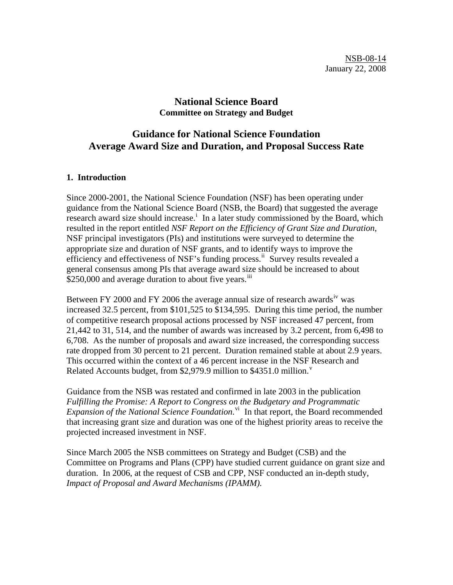## **National Science Board Committee on Strategy and Budget**

# **Guidance for National Science Foundation Average Award Size and Duration, and Proposal Success Rate**

#### **1. Introduction**

Since 2000-2001, the National Science Foundation (NSF) has been operating under guidance from the National Science Board (NSB, the Board) that suggested the average research award s[i](#page-3-0)ze should increase.<sup>i</sup> In a later study commissioned by the Board, which resulted in the report entitled *NSF Report on the Efficiency of Grant Size and Duration*, NSF principal investigators (PIs) and institutions were surveyed to determine the appropriate size and duration of NSF grants, and to identify ways to improve the efficiency and effectiveness of NSF's funding process.<sup>[ii](#page-3-1)</sup> Survey results revealed a general consensus among PIs that average award size should be increased to about  $$250,000$  and average duration to about five years.<sup>III</sup>

Between FY 2000 and FY 2006 the average annual size of research awards<sup>[iv](#page-3-1)</sup> was increased 32.5 percent, from \$101,525 to \$134,595. During this time period, the number of competitive research proposal actions processed by NSF increased 47 percent, from 21,442 to 31, 514, and the number of awards was increased by 3.2 percent, from 6,498 to 6,708. As the number of proposals and award size increased, the corresponding success rate dropped from 30 percent to 21 percent. Duration remained stable at about 2.9 years. This occurred within the context of a 46 percent increase in the NSF Research and Related Accounts budget, from \$2,979.9 million to  $$4351.0$  million.<sup>[v](#page-3-1)</sup>

Guidance from the NSB was restated and confirmed in late 2003 in the publication *Fulfilling the Promise: A Report to Congress on the Budgetary and Programmatic*  Expansion of the National Science Foundation.<sup>[vi](#page-3-1)</sup> In that report, the Board recommended that increasing grant size and duration was one of the highest priority areas to receive the projected increased investment in NSF.

Since March 2005 the NSB committees on Strategy and Budget (CSB) and the Committee on Programs and Plans (CPP) have studied current guidance on grant size and duration. In 2006, at the request of CSB and CPP, NSF conducted an in-depth study, *Impact of Proposal and Award Mechanisms (IPAMM).*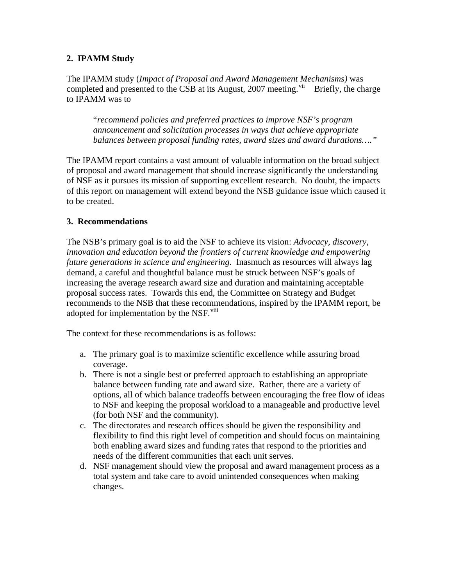## **2. IPAMM Study**

The IPAMM study (*Impact of Proposal and Award Management Mechanisms)* was completed and presented to the CSB at its August,  $2007$  meeting.<sup>[vii](#page-3-1)</sup> Briefly, the charge to IPAMM was to

"*recommend policies and preferred practices to improve NSF's program announcement and solicitation processes in ways that achieve appropriate balances between proposal funding rates, award sizes and award durations…."*

The IPAMM report contains a vast amount of valuable information on the broad subject of proposal and award management that should increase significantly the understanding of NSF as it pursues its mission of supporting excellent research. No doubt, the impacts of this report on management will extend beyond the NSB guidance issue which caused it to be created.

## **3. Recommendations**

The NSB's primary goal is to aid the NSF to achieve its vision: *Advocacy, discovery, innovation and education beyond the frontiers of current knowledge and empowering future generations in science and engineering*. Inasmuch as resources will always lag demand, a careful and thoughtful balance must be struck between NSF's goals of increasing the average research award size and duration and maintaining acceptable proposal success rates. Towards this end, the Committee on Strategy and Budget recommends to the NSB that these recommendations, inspired by the IPAMM report, be adopted for implementation by the NSF.<sup>[viii](#page-3-1)</sup>

The context for these recommendations is as follows:

- a. The primary goal is to maximize scientific excellence while assuring broad coverage.
- b. There is not a single best or preferred approach to establishing an appropriate balance between funding rate and award size. Rather, there are a variety of options, all of which balance tradeoffs between encouraging the free flow of ideas to NSF and keeping the proposal workload to a manageable and productive level (for both NSF and the community).
- c. The directorates and research offices should be given the responsibility and flexibility to find this right level of competition and should focus on maintaining both enabling award sizes and funding rates that respond to the priorities and needs of the different communities that each unit serves.
- d. NSF management should view the proposal and award management process as a total system and take care to avoid unintended consequences when making changes.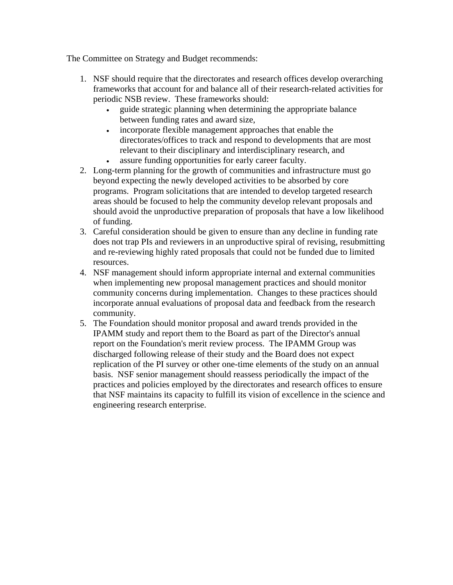The Committee on Strategy and Budget recommends:

- 1. NSF should require that the directorates and research offices develop overarching frameworks that account for and balance all of their research-related activities for periodic NSB review. These frameworks should:
	- guide strategic planning when determining the appropriate balance between funding rates and award size,
	- incorporate flexible management approaches that enable the directorates/offices to track and respond to developments that are most relevant to their disciplinary and interdisciplinary research, and
	- assure funding opportunities for early career faculty.
- 2. Long-term planning for the growth of communities and infrastructure must go beyond expecting the newly developed activities to be absorbed by core programs. Program solicitations that are intended to develop targeted research areas should be focused to help the community develop relevant proposals and should avoid the unproductive preparation of proposals that have a low likelihood of funding.
- 3. Careful consideration should be given to ensure than any decline in funding rate does not trap PIs and reviewers in an unproductive spiral of revising, resubmitting and re-reviewing highly rated proposals that could not be funded due to limited resources.
- 4. NSF management should inform appropriate internal and external communities when implementing new proposal management practices and should monitor community concerns during implementation. Changes to these practices should incorporate annual evaluations of proposal data and feedback from the research community.
- 5. The Foundation should monitor proposal and award trends provided in the IPAMM study and report them to the Board as part of the Director's annual report on the Foundation's merit review process. The IPAMM Group was discharged following release of their study and the Board does not expect replication of the PI survey or other one-time elements of the study on an annual basis. NSF senior management should reassess periodically the impact of the practices and policies employed by the directorates and research offices to ensure that NSF maintains its capacity to fulfill its vision of excellence in the science and engineering research enterprise.